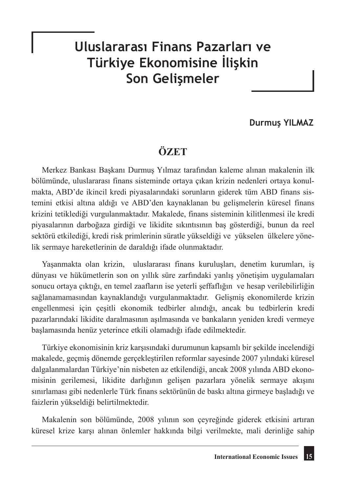# **Uluslararası Finans Pazarları ve Türkiye Ekonomisine İlişkin Son Gelişmeler**

### **Durmuş YILMAZ**

## **ÖZET**

Merkez Bankası Başkanı Durmuş Yılmaz tarafından kaleme alınan makalenin ilk bölümünde, uluslararası finans sisteminde ortaya çıkan krizin nedenleri ortaya konulmakta, ABD'de ikincil kredi piyasalarındaki sorunların giderek tüm ABD finans sistemini etkisi altına aldığı ve ABD'den kaynaklanan bu gelişmelerin küresel finans krizini tetiklediği vurgulanmaktadır. Makalede, finans sisteminin kilitlenmesi ile kredi piyasalarının darboğaza girdiği ve likidite sıkıntısının baş gösterdiği, bunun da reel sektörü etkilediği, kredi risk primlerinin süratle yükseldiği ve yükselen ülkelere yönelik sermaye hareketlerinin de daraldığı ifade olunmaktadır.

Yaşanmakta olan krizin, uluslararası finans kuruluşları, denetim kurumları, iş dünyası ve hükümetlerin son on yıllık süre zarfındaki yanlış yönetişim uygulamaları sonucu ortaya çıktığı, en temel zaafların ise yeterli şeffaflığın ve hesap verilebilirliğin sağlanamamasından kaynaklandığı vurgulanmaktadır. Gelişmiş ekonomilerde krizin engellenmesi için çeşitli ekonomik tedbirler alındığı, ancak bu tedbirlerin kredi pazarlarındaki likidite daralmasının aşılmasında ve bankaların yeniden kredi vermeye başlamasında henüz yeterince etkili olamadığı ifade edilmektedir.

Türkiye ekonomisinin kriz karşısındaki durumunun kapsamlı bir şekilde incelendiği makalede, geçmiş dönemde gerçekleştirilen reformlar sayesinde 2007 yılındaki küresel dalgalanmalardan Türkiye'nin nisbeten az etkilendiği, ancak 2008 yılında ABD ekonomisinin gerilemesi, likidite darlığının gelişen pazarlara yönelik sermaye akışını sınırlaması gibi nedenlerle Türk finans sektörünün de baskı altına girmeye başladığı ve faizlerin yükseldiği belirtilmektedir.

Makalenin son bölümünde, 2008 yılının son çeyreğinde giderek etkisini artıran küresel krize karşı alınan önlemler hakkında bilgi verilmekte, mali derinliğe sahip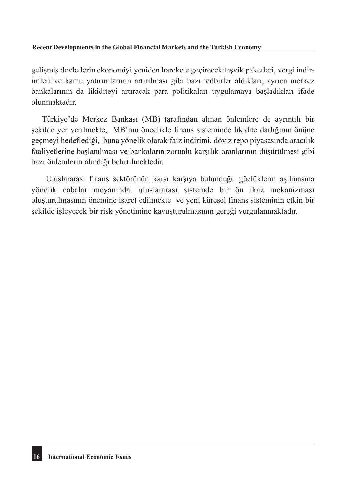#### **Recent Developments in the Global Financial Markets and the Turkish Economy**

gelişmiş devletlerin ekonomiyi yeniden harekete geçirecek teşvik paketleri, vergi indirimleri ve kamu yatırımlarının artırılması gibi bazı tedbirler aldıkları, ayrıca merkez bankalarının da likiditeyi artıracak para politikaları uygulamaya başladıkları ifade olunmaktadır.

Türkiye'de Merkez Bankası (MB) tarafından alınan önlemlere de ayrıntılı bir şekilde yer verilmekte, MB'nın öncelikle finans sisteminde likidite darlığının önüne geçmeyi hedeflediği, buna yönelik olarak faiz indirimi, döviz repo piyasasında aracılık faaliyetlerine başlanılması ve bankaların zorunlu karşılık oranlarının düşürülmesi gibi bazı önlemlerin alındığı belirtilmektedir.

 Uluslararası finans sektörünün karşı karşıya bulunduğu güçlüklerin aşılmasına yönelik çabalar meyanında, uluslararası sistemde bir ön ikaz mekanizması oluşturulmasının önemine işaret edilmekte ve yeni küresel finans sisteminin etkin bir şekilde işleyecek bir risk yönetimine kavuşturulmasının gereği vurgulanmaktadır.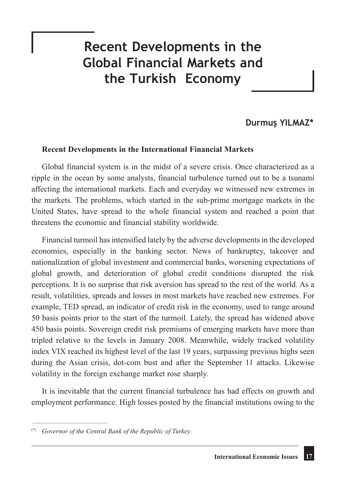# **Recent Developments in the Global Financial Markets and the Turkish Economy**

### **Durmuş YILMAZ\***

### **Recent Developments in the International Financial Markets**

Global financial system is in the midst of a severe crisis. Once characterized as a ripple in the ocean by some analysts, financial turbulence turned out to be a tsunami affecting the international markets. Each and everyday we witnessed new extremes in the markets. The problems, which started in the sub-prime mortgage markets in the United States, have spread to the whole financial system and reached a point that threatens the economic and financial stability worldwide.

Financial turmoil has intensified lately by the adverse developments in the developed economies, especially in the banking sector. News of bankruptcy, takeover and nationalization of global investment and commercial banks, worsening expectations of global growth, and deterioration of global credit conditions disrupted the risk perceptions. It is no surprise that risk aversion has spread to the rest of the world. As a result, volatilities, spreads and losses in most markets have reached new extremes. For example, TED spread, an indicator of credit risk in the economy, used to range around 50 basis points prior to the start of the turmoil. Lately, the spread has widened above 450 basis points. Sovereign credit risk premiums of emerging markets have more than tripled relative to the levels in January 2008. Meanwhile, widely tracked volatility index VIX reached its highest level of the last 19 years, surpassing previous highs seen during the Asian crisis, dot-com bust and after the September 11 attacks. Likewise volatility in the foreign exchange market rose sharply.

It is inevitable that the current financial turbulence has had effects on growth and employment performance. High losses posted by the financial institutions owing to the

\_\_\_\_\_\_\_\_\_\_\_\_\_\_\_\_\_\_\_\_\_\_\_\_\_\_\_\_\_

<sup>(\*)</sup> *Governor of the Central Bank of the Republic of Turkey*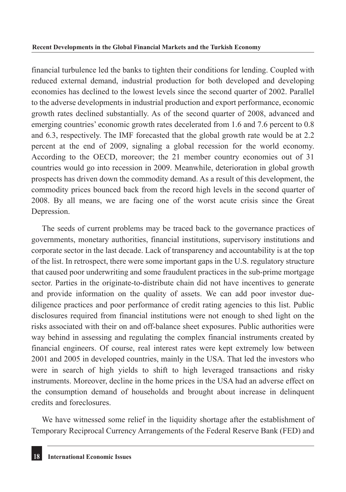financial turbulence led the banks to tighten their conditions for lending. Coupled with reduced external demand, industrial production for both developed and developing economies has declined to the lowest levels since the second quarter of 2002. Parallel to the adverse developments in industrial production and export performance, economic growth rates declined substantially. As of the second quarter of 2008, advanced and emerging countries' economic growth rates decelerated from 1.6 and 7.6 percent to 0.8 and 6.3, respectively. The IMF forecasted that the global growth rate would be at 2.2 percent at the end of 2009, signaling a global recession for the world economy. According to the OECD, moreover; the 21 member country economies out of 31 countries would go into recession in 2009. Meanwhile, deterioration in global growth prospects has driven down the commodity demand. As a result of this development, the commodity prices bounced back from the record high levels in the second quarter of 2008. By all means, we are facing one of the worst acute crisis since the Great Depression.

The seeds of current problems may be traced back to the governance practices of governments, monetary authorities, financial institutions, supervisory institutions and corporate sector in the last decade. Lack of transparency and accountability is at the top of the list. In retrospect, there were some important gaps in the U.S. regulatory structure that caused poor underwriting and some fraudulent practices in the sub-prime mortgage sector. Parties in the originate-to-distribute chain did not have incentives to generate and provide information on the quality of assets. We can add poor investor duediligence practices and poor performance of credit rating agencies to this list. Public disclosures required from financial institutions were not enough to shed light on the risks associated with their on and off-balance sheet exposures. Public authorities were way behind in assessing and regulating the complex financial instruments created by financial engineers. Of course, real interest rates were kept extremely low between 2001 and 2005 in developed countries, mainly in the USA. That led the investors who were in search of high yields to shift to high leveraged transactions and risky instruments. Moreover, decline in the home prices in the USA had an adverse effect on the consumption demand of households and brought about increase in delinquent credits and foreclosures.

We have witnessed some relief in the liquidity shortage after the establishment of Temporary Reciprocal Currency Arrangements of the Federal Reserve Bank (FED) and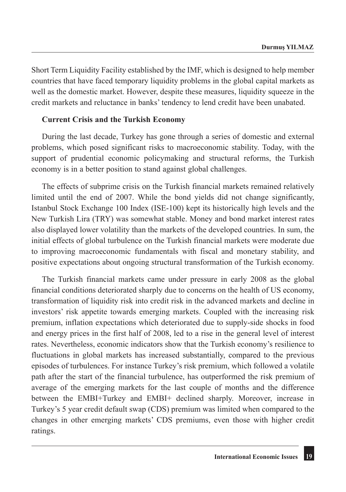Short Term Liquidity Facility established by the IMF, which is designed to help member countries that have faced temporary liquidity problems in the global capital markets as well as the domestic market. However, despite these measures, liquidity squeeze in the credit markets and reluctance in banks' tendency to lend credit have been unabated.

### **Current Crisis and the Turkish Economy**

During the last decade, Turkey has gone through a series of domestic and external problems, which posed significant risks to macroeconomic stability. Today, with the support of prudential economic policymaking and structural reforms, the Turkish economy is in a better position to stand against global challenges.

The effects of subprime crisis on the Turkish financial markets remained relatively limited until the end of 2007. While the bond yields did not change significantly, Istanbul Stock Exchange 100 Index (ISE-100) kept its historically high levels and the New Turkish Lira (TRY) was somewhat stable. Money and bond market interest rates also displayed lower volatility than the markets of the developed countries. In sum, the initial effects of global turbulence on the Turkish financial markets were moderate due to improving macroeconomic fundamentals with fiscal and monetary stability, and positive expectations about ongoing structural transformation of the Turkish economy.

The Turkish financial markets came under pressure in early 2008 as the global financial conditions deteriorated sharply due to concerns on the health of US economy, transformation of liquidity risk into credit risk in the advanced markets and decline in investors' risk appetite towards emerging markets. Coupled with the increasing risk premium, inflation expectations which deteriorated due to supply-side shocks in food and energy prices in the first half of 2008, led to a rise in the general level of interest rates. Nevertheless, economic indicators show that the Turkish economy's resilience to fluctuations in global markets has increased substantially, compared to the previous episodes of turbulences. For instance Turkey's risk premium, which followed a volatile path after the start of the financial turbulence, has outperformed the risk premium of average of the emerging markets for the last couple of months and the difference between the EMBI+Turkey and EMBI+ declined sharply. Moreover, increase in Turkey's 5 year credit default swap (CDS) premium was limited when compared to the changes in other emerging markets' CDS premiums, even those with higher credit ratings.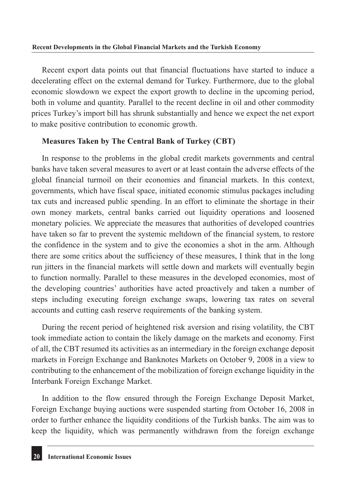Recent export data points out that financial fluctuations have started to induce a decelerating effect on the external demand for Turkey. Furthermore, due to the global economic slowdown we expect the export growth to decline in the upcoming period, both in volume and quantity. Parallel to the recent decline in oil and other commodity prices Turkey's import bill has shrunk substantially and hence we expect the net export to make positive contribution to economic growth.

### **Measures Taken by The Central Bank of Turkey (CBT)**

In response to the problems in the global credit markets governments and central banks have taken several measures to avert or at least contain the adverse effects of the global financial turmoil on their economies and financial markets. In this context, governments, which have fiscal space, initiated economic stimulus packages including tax cuts and increased public spending. In an effort to eliminate the shortage in their own money markets, central banks carried out liquidity operations and loosened monetary policies. We appreciate the measures that authorities of developed countries have taken so far to prevent the systemic meltdown of the financial system, to restore the confidence in the system and to give the economies a shot in the arm. Although there are some critics about the sufficiency of these measures, I think that in the long run jitters in the financial markets will settle down and markets will eventually begin to function normally. Parallel to these measures in the developed economies, most of the developing countries' authorities have acted proactively and taken a number of steps including executing foreign exchange swaps, lowering tax rates on several accounts and cutting cash reserve requirements of the banking system.

During the recent period of heightened risk aversion and rising volatility, the CBT took immediate action to contain the likely damage on the markets and economy. First of all, the CBT resumed its activities as an intermediary in the foreign exchange deposit markets in Foreign Exchange and Banknotes Markets on October 9, 2008 in a view to contributing to the enhancement of the mobilization of foreign exchange liquidity in the Interbank Foreign Exchange Market.

In addition to the flow ensured through the Foreign Exchange Deposit Market, Foreign Exchange buying auctions were suspended starting from October 16, 2008 in order to further enhance the liquidity conditions of the Turkish banks. The aim was to keep the liquidity, which was permanently withdrawn from the foreign exchange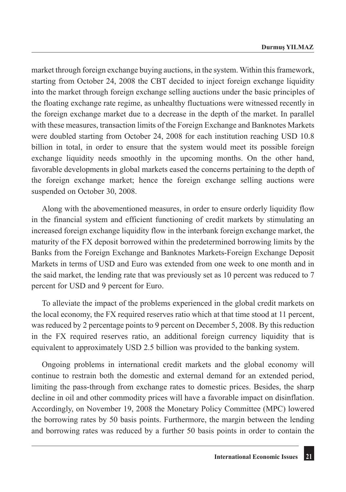market through foreign exchange buying auctions, in the system. Within this framework, starting from October 24, 2008 the CBT decided to inject foreign exchange liquidity into the market through foreign exchange selling auctions under the basic principles of the floating exchange rate regime, as unhealthy fluctuations were witnessed recently in the foreign exchange market due to a decrease in the depth of the market. In parallel with these measures, transaction limits of the Foreign Exchange and Banknotes Markets were doubled starting from October 24, 2008 for each institution reaching USD 10.8 billion in total, in order to ensure that the system would meet its possible foreign exchange liquidity needs smoothly in the upcoming months. On the other hand, favorable developments in global markets eased the concerns pertaining to the depth of the foreign exchange market; hence the foreign exchange selling auctions were suspended on October 30, 2008.

Along with the abovementioned measures, in order to ensure orderly liquidity flow in the financial system and efficient functioning of credit markets by stimulating an increased foreign exchange liquidity flow in the interbank foreign exchange market, the maturity of the FX deposit borrowed within the predetermined borrowing limits by the Banks from the Foreign Exchange and Banknotes Markets-Foreign Exchange Deposit Markets in terms of USD and Euro was extended from one week to one month and in the said market, the lending rate that was previously set as 10 percent was reduced to 7 percent for USD and 9 percent for Euro.

To alleviate the impact of the problems experienced in the global credit markets on the local economy, the FX required reserves ratio which at that time stood at 11 percent, was reduced by 2 percentage points to 9 percent on December 5, 2008. By this reduction in the FX required reserves ratio, an additional foreign currency liquidity that is equivalent to approximately USD 2.5 billion was provided to the banking system.

Ongoing problems in international credit markets and the global economy will continue to restrain both the domestic and external demand for an extended period, limiting the pass-through from exchange rates to domestic prices. Besides, the sharp decline in oil and other commodity prices will have a favorable impact on disinflation. Accordingly, on November 19, 2008 the Monetary Policy Committee (MPC) lowered the borrowing rates by 50 basis points. Furthermore, the margin between the lending and borrowing rates was reduced by a further 50 basis points in order to contain the